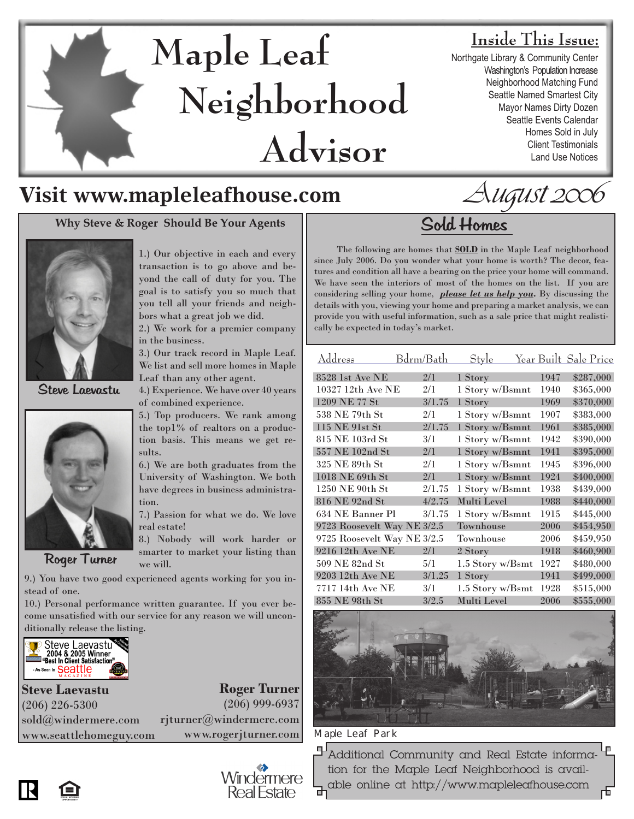# **Maple Leaf Neighborhood Advisor**

## **Inside This Issue:**

Northgate Library & Community Center Washington's Population Increase Neighborhood Matching Fund Seattle Named Smartest City Mayor Names Dirty Dozen Seattle Events Calendar Homes Sold in July Client Testimonials Land Use Notices

## **Visit www.mapleleafhouse.com**

## Why Steve & Roger Should Be Your Agents Sold Homes



Steve Laevastu



Roger Turner

1.) Our objective in each and every transaction is to go above and beyond the call of duty for you. The goal is to satisfy you so much that you tell all your friends and neighbors what a great job we did.

2.) We work for a premier company in the business.

3.) Our track record in Maple Leaf. We list and sell more homes in Maple Leaf than any other agent.

4.) Experience. We have over 40 years of combined experience.

5.) Top producers. We rank among the top1% of realtors on a production basis. This means we get results.

6.) We are both graduates from the University of Washington. We both have degrees in business administration.

7.) Passion for what we do. We love real estate!

8.) Nobody will work harder or smarter to market your listing than we will.

> Windermere **Real Estate**

9.) You have two good experienced agents working for you instead of one.

10.) Personal performance written guarantee. If you ever become unsatisfied with our service for any reason we will unconditionally release the listing.



**Roger Turner** (206) 999-6937 rjturner@windermere.com www.rogerjturner.com **Steve Laevastu** (206) 226-5300 sold@windermere.com www.seattlehomeguy.com



August 2006

 The following are homes that **SOLD** in the Maple Leaf neighborhood since July 2006. Do you wonder what your home is worth? The decor, features and condition all have a bearing on the price your home will command. We have seen the interiors of most of the homes on the list. If you are considering selling your home, *please let us help you.* By discussing the details with you, viewing your home and preparing a market analysis, we can provide you with useful information, such as a sale price that might realistically be expected in today's market.

| Address                     | Bdrm/Bath | Style            |      | Year Built Sale Price |
|-----------------------------|-----------|------------------|------|-----------------------|
| 8528 1st Ave NE             | 2/1       | 1 Story          | 1947 | \$287,000             |
| $10327$ 12th Ave NE         | 2/1       | 1 Story w/Bsmnt  | 1940 | \$365,000             |
| 1209 NE 77 St               | 3/1.75    | 1 Story          | 1969 | \$370,000             |
| 538 NE 79th St              | 2/1       | 1 Story w/Bsmnt  | 1907 | \$383,000             |
| 115 NE 91st St              | 2/1.75    | 1 Story w/Bsmnt  | 1961 | \$385,000             |
| 815 NE 103rd St             | 3/1       | 1 Story w/Bsmnt  | 1942 | \$390,000             |
| 557 NE 102nd St             | 2/1       | 1 Story w/Bsmnt  | 1941 | \$395,000             |
| 325 NE 89th St              | 2/1       | 1 Story w/Bsmnt  | 1945 | \$396,000             |
| 1018 NE 69th St             | 2/1       | 1 Story w/Bsmnt  | 1924 | \$400,000             |
| 1250 NE 90th St             | 2/1.75    | 1 Story w/Bsmnt  | 1938 | \$439,000             |
| 816 NE 92nd St              | 4/2.75    | Multi Level      | 1988 | \$440,000             |
| 634 NE Banner Pl            | 3/1.75    | 1 Story w/Bsmnt  | 1915 | \$445,000             |
| 9723 Roosevelt Way NE 3/2.5 |           | Townhouse        | 2006 | \$454,950             |
| 9725 Roosevelt Way NE 3/2.5 |           | Townhouse        | 2006 | \$459,950             |
| 9216 12th Ave NE            | 2/1       | 2 Story          | 1918 | \$460,900             |
| 509 NE 82nd St              | 5/1       | 1.5 Story w/Bsmt | 1927 | \$480,000             |
| 9203 12th Ave NE            | 3/1.25    | 1 Story          | 1941 | \$499,000             |
| 7717 14th Ave NE            | 3/1       | 1.5 Story w/Bsmt | 1928 | \$515,000             |
| 855 NE 98th St              | 3/2.5     | Multi Level      | 2006 | \$555,000             |



#### Maple Leaf Park

**Additional Community and Real Estate informa**tion for the Maple Leaf Neighborhood is available online at http://www.mapleleafhouse.com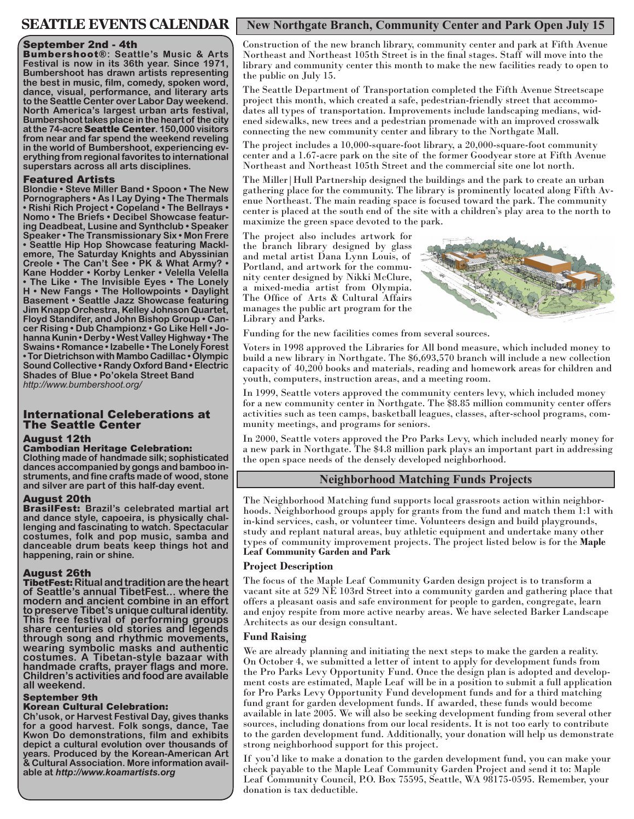## **SEATTLE EVENTS CALENDAR**

#### September 2nd - 4th

Bumbershoot®**: Seattle's Music & Arts Festival is now in its 36th year. Since 1971, Bumbershoot has drawn artists representing the best in music, film, comedy, spoken word, dance, visual, performance, and literary arts to the Seattle Center over Labor Day weekend. North America's largest urban arts festival, Bumbershoot takes place in the heart of the city at the 74-acre** Seattle Center**. 150,000 visitors from near and far spend the weekend reveling in the world of Bumbershoot, experiencing everything from regional favorites to international superstars across all arts disciplines.**

#### Featured Artists

**Blondie • Steve Miller Band • Spoon • The New Pornographers • As I Lay Dying • The Thermals • Rishi Rich Project • Copeland • The Bellrays • Nomo • The Briefs • Decibel Showcase featuring Deadbeat, Lusine and Synthclub • Speaker Speaker • The Transmissionary Six • Mon Frere • Seattle Hip Hop Showcase featuring Macklemore, The Saturday Knights and Abyssinian Creole • The Can't See • PK & What Army? • Kane Hodder • Korby Lenker • Velella Velella • The Like • The Invisible Eyes • The Lonely H • New Fangs • The Hollowpoints • Daylight Basement • Seattle Jazz Showcase featuring Jim Knapp Orchestra, Kelley Johnson Quartet, Floyd Standifer, and John Bishop Group • Cancer Rising • Dub Championz • Go Like Hell • Johanna Kunin • Derby • West Valley Highway • The Swains • Romance • Izabelle • The Lonely Forest • Tor Dietrichson with Mambo Cadillac • Olympic Sound Collective • Randy Oxford Band • Electric Shades of Blue • Po'okela Street Band**  *http://www.bumbershoot.org/*

#### International Celeberations at The Seattle Center

#### August 12th

#### Cambodian Heritage Celebration:

**Clothing made of handmade silk; sophisticated dances accompanied by gongs and bamboo instruments, and fine crafts made of wood, stone and silver are part of this half-day event.** 

#### August 20th

BrasilFest: **Brazil's celebrated martial art and dance style, capoeira, is physically challenging and fascinating to watch. Spectacular costumes, folk and pop music, samba and danceable drum beats keep things hot and happening, rain or shine.**

#### August 26th

TibetFest: **Ritual and tradition are the heart of Seattle's annual TibetFest... where the modern and ancient combine in an effort to preserve Tibet's unique cultural identity. This free festival of performing groups share centuries old stories and legends through song and rhythmic movements, wearing symbolic masks and authentic costumes. A Tibetan-style bazaar with handmade crafts, prayer flags and more. Children's activities and food are available all weekend.**

#### September 9th

#### Korean Cultural Celebration:

**Ch'usok, or Harvest Festival Day, gives thanks for a good harvest. Folk songs, dance, Tae Kwon Do demonstrations, film and exhibits depict a cultural evolution over thousands of years. Produced by the Korean-American Art & Cultural Association. More information avail- able at** *http://www.koamartists.org*

#### **New Northgate Branch, Community Center and Park Open July 15**

Construction of the new branch library, community center and park at Fifth Avenue Northeast and Northeast 105th Street is in the final stages. Staff will move into the library and community center this month to make the new facilities ready to open to the public on July 15.

The Seattle Department of Transportation completed the Fifth Avenue Streetscape project this month, which created a safe, pedestrian-friendly street that accommodates all types of transportation. Improvements include landscaping medians, widened sidewalks, new trees and a pedestrian promenade with an improved crosswalk connecting the new community center and library to the Northgate Mall.

The project includes a 10,000-square-foot library, a 20,000-square-foot community center and a 1.67-acre park on the site of the former Goodyear store at Fifth Avenue Northeast and Northeast 105th Street and the commercial site one lot north.

The Miller|Hull Partnership designed the buildings and the park to create an urban gathering place for the community. The library is prominently located along Fifth Avenue Northeast. The main reading space is focused toward the park. The community center is placed at the south end of the site with a children's play area to the north to maximize the green space devoted to the park.

The project also includes artwork for the branch library designed by glass and metal artist Dana Lynn Louis, of Portland, and artwork for the community center designed by Nikki McClure, a mixed-media artist from Olympia. The Office of Arts & Cultural Affairs manages the public art program for the Library and Parks.



Funding for the new facilities comes from several sources.

Voters in 1998 approved the Libraries for All bond measure, which included money to build a new library in Northgate. The \$6,693,570 branch will include a new collection capacity of 40,200 books and materials, reading and homework areas for children and youth, computers, instruction areas, and a meeting room.

In 1999, Seattle voters approved the community centers levy, which included money for a new community center in Northgate. The \$8.85 million community center offers activities such as teen camps, basketball leagues, classes, after-school programs, community meetings, and programs for seniors.

In 2000, Seattle voters approved the Pro Parks Levy, which included nearly money for a new park in Northgate. The \$4.8 million park plays an important part in addressing the open space needs of the densely developed neighborhood.

#### **Neighborhood Matching Funds Projects**

The Neighborhood Matching fund supports local grassroots action within neighborhoods. Neighborhood groups apply for grants from the fund and match them 1:1 with in-kind services, cash, or volunteer time. Volunteers design and build playgrounds, study and replant natural areas, buy athletic equipment and undertake many other types of community improvement projects. The project listed below is for the **Maple Leaf Community Garden and Park** 

#### **Project Description**

The focus of the Maple Leaf Community Garden design project is to transform a vacant site at 529 NE 103rd Street into a community garden and gathering place that offers a pleasant oasis and safe environment for people to garden, congregate, learn and enjoy respite from more active nearby areas. We have selected Barker Landscape Architects as our design consultant.

#### **Fund Raising**

We are already planning and initiating the next steps to make the garden a reality. On October 4, we submitted a letter of intent to apply for development funds from the Pro Parks Levy Opportunity Fund. Once the design plan is adopted and development costs are estimated, Maple Leaf will be in a position to submit a full application for Pro Parks Levy Opportunity Fund development funds and for a third matching fund grant for garden development funds. If awarded, these funds would become available in late 2005. We will also be seeking development funding from several other sources, including donations from our local residents. It is not too early to contribute to the garden development fund. Additionally, your donation will help us demonstrate strong neighborhood support for this project.

If you'd like to make a donation to the garden development fund, you can make your check payable to the Maple Leaf Community Garden Project and send it to: Maple Leaf Community Council, P.O. Box 75595, Seattle, WA 98175-0595. Remember, your donation is tax deductible.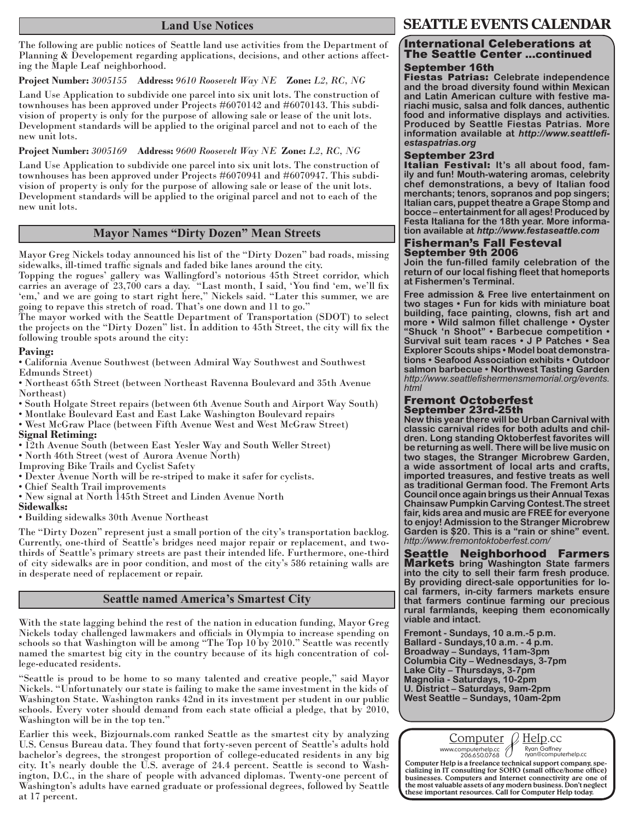#### **Land Use Notices**

The following are public notices of Seattle land use activities from the Department of Planning & Developement regarding applications, decisions, and other actions affecting the Maple Leaf neighborhood.

**Project Number:** *3005155* **Address:** *9610 Roosevelt Way NE* **Zone:** *L2, RC, NG* 

Land Use Application to subdivide one parcel into six unit lots. The construction of townhouses has been approved under Projects #6070142 and #6070143. This subdivision of property is only for the purpose of allowing sale or lease of the unit lots. Development standards will be applied to the original parcel and not to each of the new unit lots.

**Project Number:** *3005169* **Address:** *9600 Roosevelt Way NE* **Zone:** *L2, RC, NG*

Land Use Application to subdivide one parcel into six unit lots. The construction of townhouses has been approved under Projects #6070941 and #6070947. This subdivision of property is only for the purpose of allowing sale or lease of the unit lots. Development standards will be applied to the original parcel and not to each of the new unit lots.

#### **Mayor Names "Dirty Dozen" Mean Streets**

Mayor Greg Nickels today announced his list of the "Dirty Dozen" bad roads, missing sidewalks, ill-timed traffic signals and faded bike lanes around the city.

Topping the rogues' gallery was Wallingford's notorious 45th Street corridor, which carries an average of 23,700 cars a day. "Last month, I said, 'You find 'em, we'll fix 'em,' and we are going to start right here," Nickels said. "Later this summer, we are going to repave this stretch of road. That's one down and 11 to go."

The mayor worked with the Seattle Department of Transportation (SDOT) to select the projects on the "Dirty Dozen" list. In addition to 45th Street, the city will fix the following trouble spots around the city:

#### **Paving:**

• California Avenue Southwest (between Admiral Way Southwest and Southwest Edmunds Street)

- Northeast 65th Street (between Northeast Ravenna Boulevard and 35th Avenue Northeast)
- South Holgate Street repairs (between 6th Avenue South and Airport Way South)
- Montlake Boulevard East and East Lake Washington Boulevard repairs
- West McGraw Place (between Fifth Avenue West and West McGraw Street)

#### **Signal Retiming:**

- 12th Avenue South (between East Yesler Way and South Weller Street)
- North 46th Street (west of Aurora Avenue North)
- Improving Bike Trails and Cyclist Safety
- Dexter Avenue North will be re-striped to make it safer for cyclists.
- Chief Sealth Trail improvements
- New signal at North 145th Street and Linden Avenue North

#### **Sidewalks:**

• Building sidewalks 30th Avenue Northeast

The "Dirty Dozen" represent just a small portion of the city's transportation backlog. Currently, one-third of Seattle's bridges need major repair or replacement, and twothirds of Seattle's primary streets are past their intended life. Furthermore, one-third of city sidewalks are in poor condition, and most of the city's 586 retaining walls are in desperate need of replacement or repair.

#### **Seattle named America's Smartest City**

With the state lagging behind the rest of the nation in education funding, Mayor Greg Nickels today challenged lawmakers and officials in Olympia to increase spending on schools so that Washington will be among "The Top 10 by 2010." Seattle was recently named the smartest big city in the country because of its high concentration of college-educated residents.

"Seattle is proud to be home to so many talented and creative people," said Mayor Nickels. "Unfortunately our state is failing to make the same investment in the kids of Washington State. Washington ranks 42nd in its investment per student in our public schools. Every voter should demand from each state official a pledge, that by 2010, Washington will be in the top ten."

Earlier this week, Bizjournals.com ranked Seattle as the smartest city by analyzing U.S. Census Bureau data. They found that forty-seven percent of Seattle's adults hold bachelor's degrees, the strongest proportion of college-educated residents in any big city. It's nearly double the U.S. average of 24.4 percent. Seattle is second to Washington, D.C., in the share of people with advanced diplomas. Twenty-one percent of Washington's adults have earned graduate or professional degrees, followed by Seattle at 17 percent.

#### **SEATTLE EVENTS CALENDAR**

### International Celeberations at The Seattle Center ...continued

#### September 16th

Fiestas Patrias: **Celebrate independence and the broad diversity found within Mexican and Latin American culture with festive ma- riachi music, salsa and folk dances, authentic food and informative displays and activities. Produced by Seattle Fiestas Patrias. More information available at** *http://www.seattlefi- estaspatrias.org*

#### September 23rd

Italian Festival: **It's all about food, family and fun! Mouth-watering aromas, celebrity chef demonstrations, a bevy of Italian food merchants; tenors, sopranos and pop singers; Italian cars, puppet theatre a Grape Stomp and bocce – entertainment for all ages! Produced by Festa Italiana for the 18th year. More informa- tion available at** *http://www.festaseattle.com*

#### Fisherman's Fall Festeval September 9th 2006

**Join the fun-filled family celebration of the return of our local fishing fleet that homeports at Fishermen's Terminal.**

**Free admission & Free live entertainment on two stages • Fun for kids with miniature boat building, face painting, clowns, fish art and more • Wild salmon fillet challenge • Oyster "Shuck 'n Shoot" • Barbecue competition • Survival suit team races • J P Patches • Sea Explorer Scouts ships • Model boat demonstrations • Seafood Association exhibits • Outdoor salmon barbecue • Northwest Tasting Garden**  *http://www.seattlefishermensmemorial.org/events. html*

#### Fremont Octoberfest September 23rd-25th

**New this year there will be Urban Carnival with classic carnival rides for both adults and children. Long standing Oktoberfest favorites will be returning as well. There will be live music on two stages, the Stranger Microbrew Garden, a wide assortment of local arts and crafts, imported treasures, and festive treats as well as traditional German food. The Fremont Arts Council once again brings us their Annual Texas Chainsaw Pumpkin Carving Contest.The street fair, kids area and music are FREE for everyone to enjoy! Admission to the Stranger Microbrew Garden is \$20. This is a "rain or shine" event.**  *http://www.fremontoktoberfest.com/*

Seattle Neighborhood Farmers Markets **bring Washington State farmers into the city to sell their farm fresh produce. By providing direct-sale opportunities for local farmers, in-city farmers markets ensure that farmers continue farming our precious rural farmlands, keeping them economically viable and intact.** 

**Fremont - Sundays, 10 a.m.-5 p.m. Ballard - Sundays,10 a.m. - 4 p.m. Broadway – Sundays, 11am-3pm Columbia City – Wednesdays, 3-7pm Lake City – Thursdays, 3-7pm Magnolia - Saturdays, 10-2pm U. District – Saturdays, 9am-2pm West Seattle – Sundays, 10am-2pm**